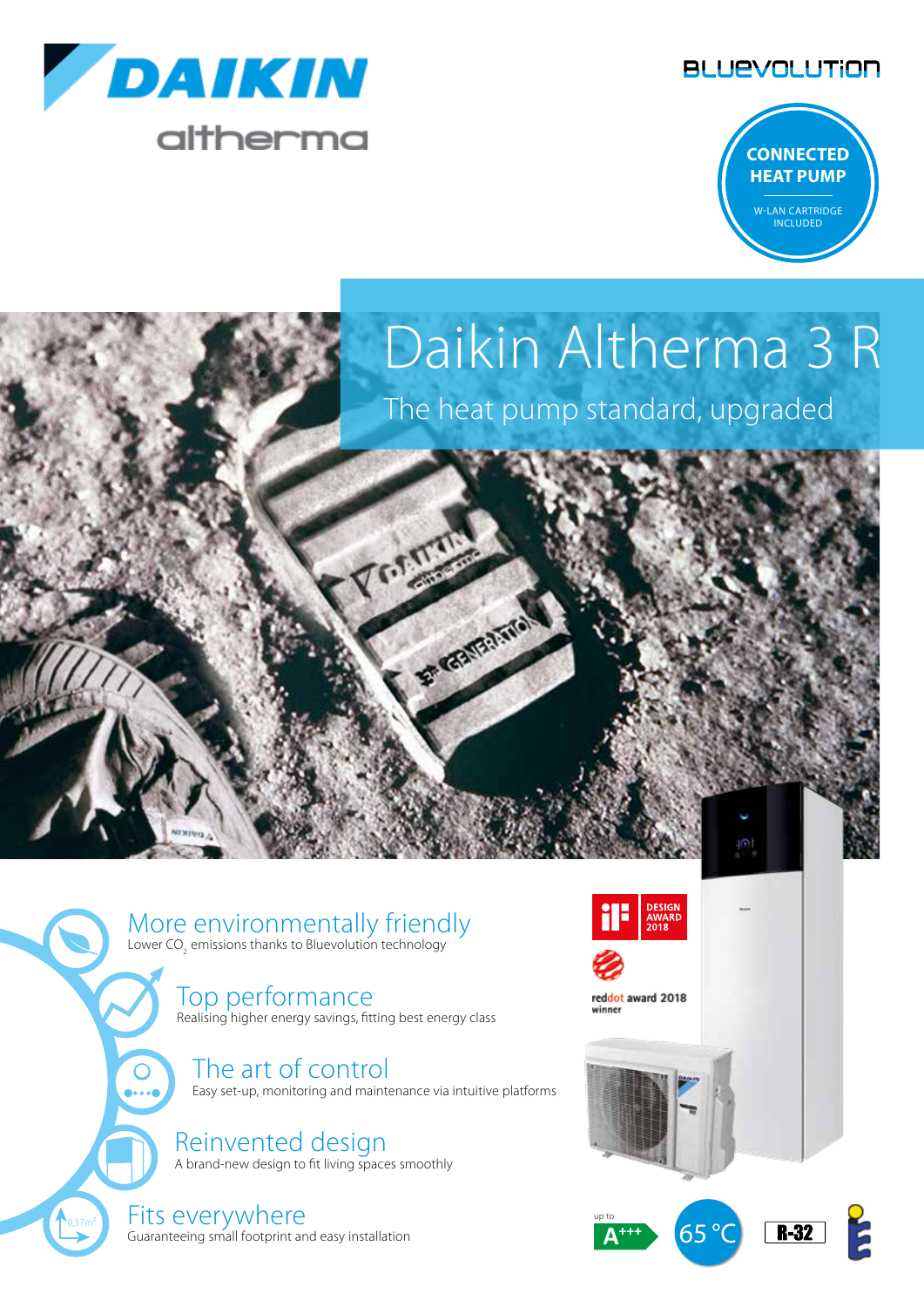





# Daikin Altherma 3 R

The heat pump standard, upgraded

#### More environmentally friendly

Lower CO<sub>2</sub> emissions thanks to Bluevolution technology

#### Top performance

Realising higher energy savings, fitting best energy class

Jesen

F GAMBARING

The art of control Easy set-up, monitoring and maintenance via intuitive platforms

Reinvented design



Fits everywhere Guaranteeing small footprint and easy installation

 $0,37m<sup>2</sup>$ 



up to  **A+++** 





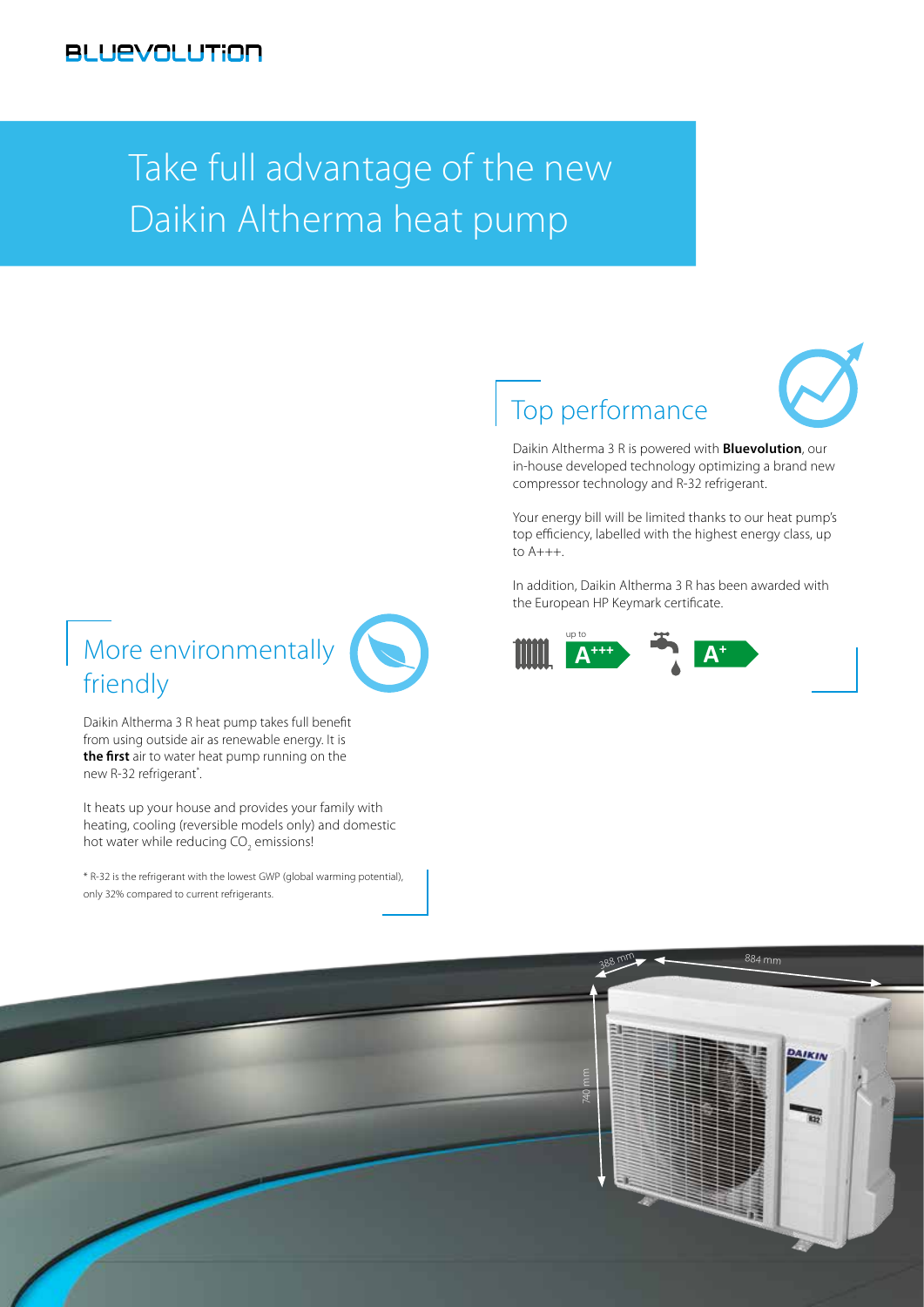## Take full advantage of the new Daikin Altherma heat pump

#### Top performance



Daikin Altherma 3 R is powered with **Bluevolution**, our in-house developed technology optimizing a brand new compressor technology and R-32 refrigerant.

Your energy bill will be limited thanks to our heat pump's top efficiency, labelled with the highest energy class, up to A+++.

In addition, Daikin Altherma 3 R has been awarded with the European HP Keymark certificate.



#### More environmentally friendly

Daikin Altherma 3 R heat pump takes full benefit from using outside air as renewable energy. It is **the first** air to water heat pump running on the new R-32 refrigerant\*. .

It heats up your house and provides your family with heating, cooling (reversible models only) and domestic hot water while reducing CO<sub>2</sub> emissions!

\* R-32 is the refrigerant with the lowest GWP (global warming potential), only 32% compared to current refrigerants.

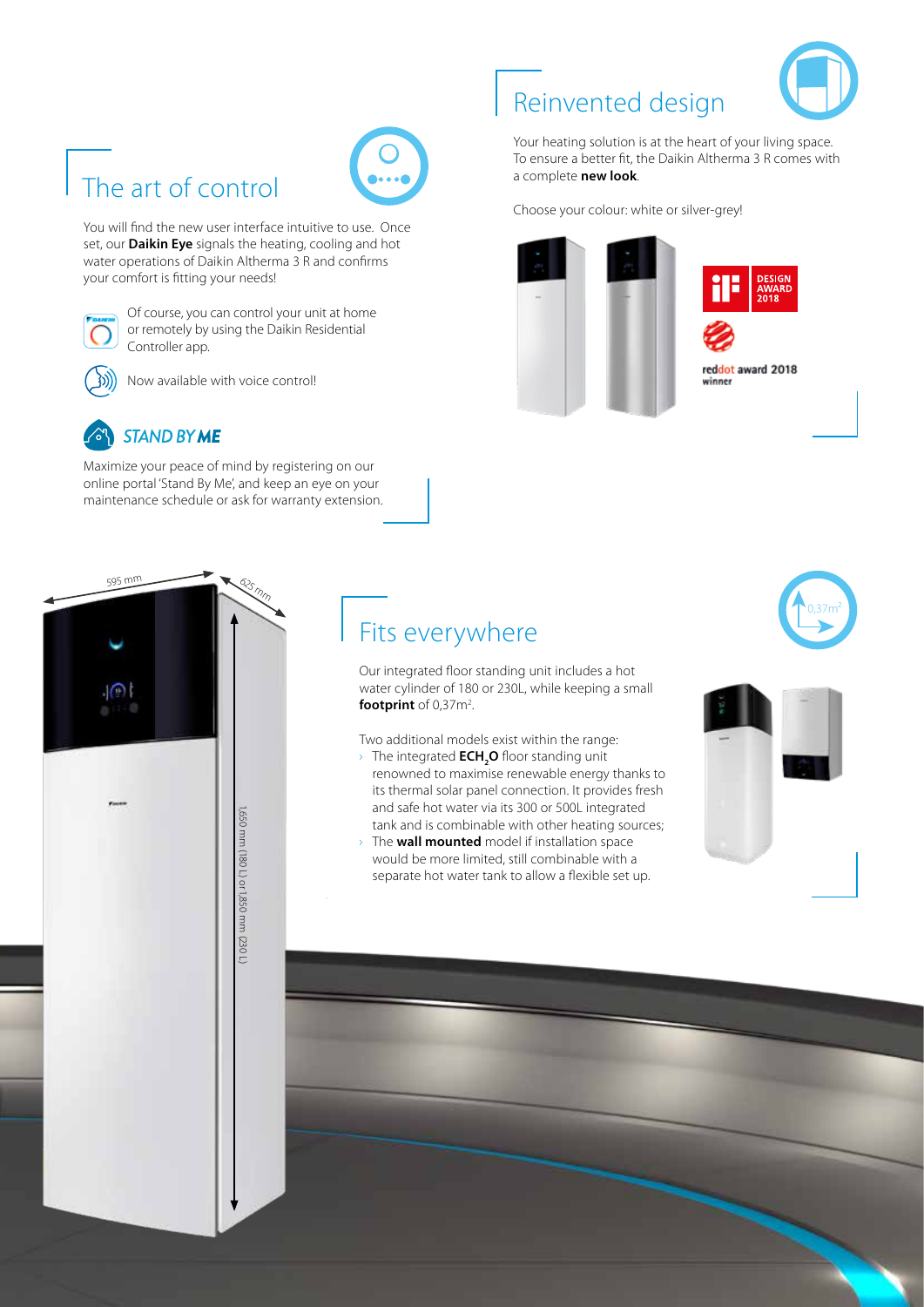

### The art of control



You will find the new user interface intuitive to use. Once set, our **Daikin Eye** signals the heating, cooling and hot water operations of Daikin Altherma 3 R and confirms your comfort is fitting your needs!



Of course, you can control your unit at home or remotely by using the Daikin Residential Controller app.



Now available with voice control!



595 m<sup>m</sup>

Maximize your peace of mind by registering on our online portal 'Stand By Me', and keep an eye on your maintenance schedule or ask for warranty extension.

625 <sub>Mm</sub>

#### Reinvented design

Your heating solution is at the heart of your living space. To ensure a better fit, the Daikin Altherma 3 R comes with a complete **new look**.

Choose your colour: white or silver-grey!



reddot award 2018 winner

#### Fits everywhere

Our integrated floor standing unit includes a hot water cylinder of 180 or 230L, while keeping a small **footprint** of 0,37m<sup>2</sup>.

Two additional models exist within the range:

- **>** The integrated  $\mathsf{ECH_2O}$  floor standing unit renowned to maximise renewable energy thanks to its thermal solar panel connection. It provides fresh and safe hot water via its 300 or 500L integrated tank and is combinable with other heating sources;
- › The **wall mounted** model if installation space would be more limited, still combinable with a separate hot water tank to allow a flexible set up.